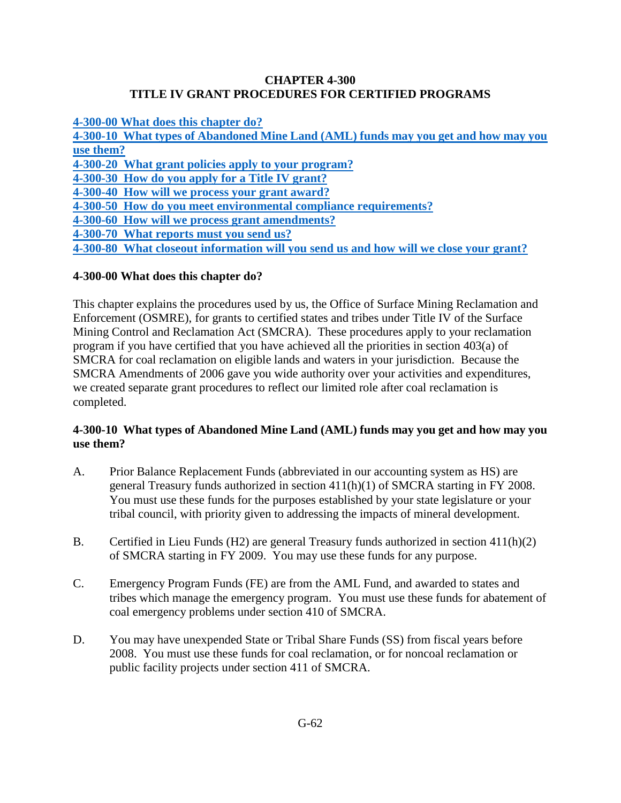### **CHAPTER 4-300 TITLE IV GRANT PROCEDURES FOR CERTIFIED PROGRAMS**

**[4-300-00 What does this chapter do?](#page-0-0)**

**[4-300-10 What types of Abandoned Mine Land \(AML\) funds may you get and how may you](#page-0-1) [use them?](#page-0-1) [4-300-20 What grant policies apply to your program?](#page-1-0) [4-300-30 How do you apply for a Title IV grant?](#page-1-1) [4-300-40 How will we process your grant award?](#page-2-0) [4-300-50 How do you meet environmental compliance requirements?](#page-3-0) [4-300-60 How will we process grant amendments?](#page-3-1) [4-300-70 What reports must you send us?](#page-4-0) [4-300-80 What closeout information will you send us and how will we close your grant?](#page-5-0)**

# <span id="page-0-0"></span>**4-300-00 What does this chapter do?**

This chapter explains the procedures used by us, the Office of Surface Mining Reclamation and Enforcement (OSMRE), for grants to certified states and tribes under Title IV of the Surface Mining Control and Reclamation Act (SMCRA). These procedures apply to your reclamation program if you have certified that you have achieved all the priorities in section 403(a) of SMCRA for coal reclamation on eligible lands and waters in your jurisdiction. Because the SMCRA Amendments of 2006 gave you wide authority over your activities and expenditures, we created separate grant procedures to reflect our limited role after coal reclamation is completed.

## <span id="page-0-1"></span>**4-300-10 What types of Abandoned Mine Land (AML) funds may you get and how may you use them?**

- A. Prior Balance Replacement Funds (abbreviated in our accounting system as HS) are general Treasury funds authorized in section 411(h)(1) of SMCRA starting in FY 2008. You must use these funds for the purposes established by your state legislature or your tribal council, with priority given to addressing the impacts of mineral development.
- B. Certified in Lieu Funds (H2) are general Treasury funds authorized in section 411(h)(2) of SMCRA starting in FY 2009. You may use these funds for any purpose.
- C. Emergency Program Funds (FE) are from the AML Fund, and awarded to states and tribes which manage the emergency program. You must use these funds for abatement of coal emergency problems under section 410 of SMCRA.
- D. You may have unexpended State or Tribal Share Funds (SS) from fiscal years before 2008. You must use these funds for coal reclamation, or for noncoal reclamation or public facility projects under section 411 of SMCRA.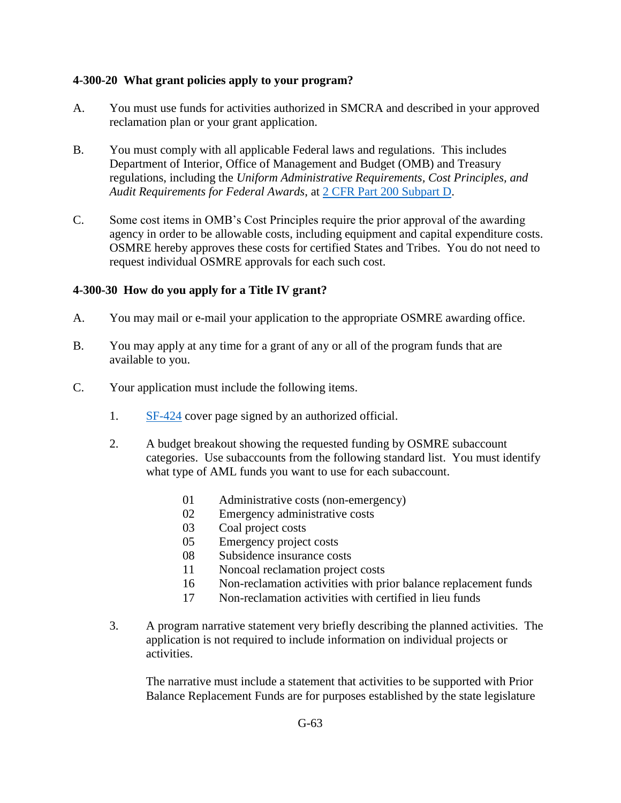### <span id="page-1-0"></span>**4-300-20 What grant policies apply to your program?**

- A. You must use funds for activities authorized in SMCRA and described in your approved reclamation plan or your grant application.
- B. You must comply with all applicable Federal laws and regulations. This includes Department of Interior, Office of Management and Budget (OMB) and Treasury regulations, including the *Uniform Administrative Requirements, Cost Principles, and Audit Requirements for Federal Awards*, at [2 CFR Part 200 Subpart D.](http://www.ecfr.gov/cgi-bin/text-idx?SID=c2b7bcf743db0b1084f2f8b07bbc75b3&mc=true&node=pt2.1.200&rgn=div5http://www.ecfr.gov/cgi-bin/text-idx?SID=c2b7bcf743db0b1084f2f8b07bbc75b3&mc=true&node=pt2.1.200&rgn=div5)
- C. Some cost items in OMB's Cost Principles require the prior approval of the awarding agency in order to be allowable costs, including equipment and capital expenditure costs. OSMRE hereby approves these costs for certified States and Tribes. You do not need to request individual OSMRE approvals for each such cost.

### <span id="page-1-1"></span>**4-300-30 How do you apply for a Title IV grant?**

- A. You may mail or e-mail your application to the appropriate OSMRE awarding office.
- B. You may apply at any time for a grant of any or all of the program funds that are available to you.
- C. Your application must include the following items.
	- 1. [SF-424](http://www.osmre.gov/forms/pdf/SF424.pdf) cover page signed by an authorized official.
	- 2. A budget breakout showing the requested funding by OSMRE subaccount categories. Use subaccounts from the following standard list. You must identify what type of AML funds you want to use for each subaccount.
		- 01 Administrative costs (non-emergency)
		- 02 Emergency administrative costs
		- 03 Coal project costs
		- 05 Emergency project costs
		- 08 Subsidence insurance costs
		- 11 Noncoal reclamation project costs
		- 16 Non-reclamation activities with prior balance replacement funds
		- 17 Non-reclamation activities with certified in lieu funds
	- 3. A program narrative statement very briefly describing the planned activities. The application is not required to include information on individual projects or activities.

The narrative must include a statement that activities to be supported with Prior Balance Replacement Funds are for purposes established by the state legislature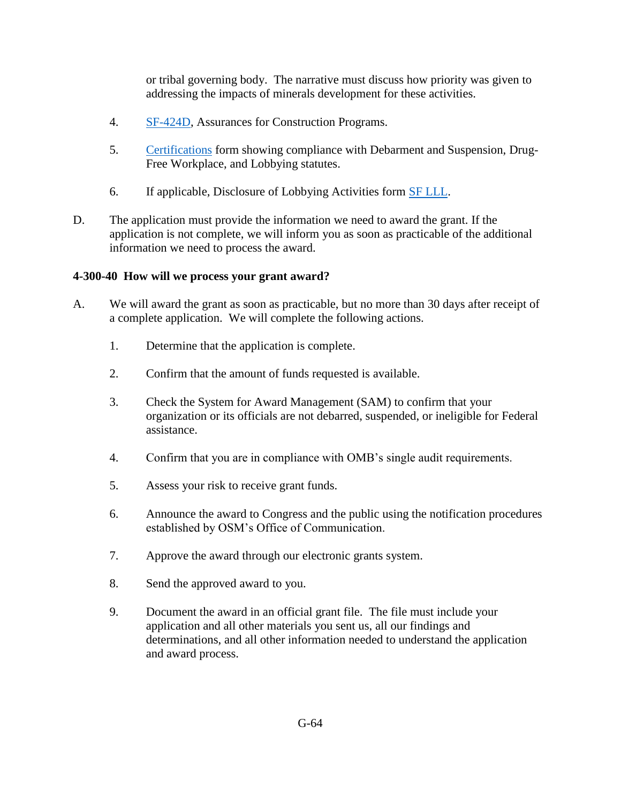or tribal governing body. The narrative must discuss how priority was given to addressing the impacts of minerals development for these activities.

- 4. [SF-424D,](http://www.osmre.gov/forms/pdf/SF424D.pdf) Assurances for Construction Programs.
- 5. [Certifications](http://www.osmre.gov/forms/pdf/SF424D.pdf) form showing compliance with Debarment and Suspension, Drug-Free Workplace, and Lobbying statutes.
- 6. If applicable, Disclosure of Lobbying Activities form [SF LLL.](http://www.osmre.gov/forms/pdf/SF424D.pdf)
- D. The application must provide the information we need to award the grant. If the application is not complete, we will inform you as soon as practicable of the additional information we need to process the award.

## <span id="page-2-0"></span>**4-300-40 How will we process your grant award?**

- A. We will award the grant as soon as practicable, but no more than 30 days after receipt of a complete application. We will complete the following actions.
	- 1. Determine that the application is complete.
	- 2. Confirm that the amount of funds requested is available.
	- 3. Check the System for Award Management (SAM) to confirm that your organization or its officials are not debarred, suspended, or ineligible for Federal assistance.
	- 4. Confirm that you are in compliance with OMB's single audit requirements.
	- 5. Assess your risk to receive grant funds.
	- 6. Announce the award to Congress and the public using the notification procedures established by OSM's Office of Communication.
	- 7. Approve the award through our electronic grants system.
	- 8. Send the approved award to you.
	- 9. Document the award in an official grant file. The file must include your application and all other materials you sent us, all our findings and determinations, and all other information needed to understand the application and award process.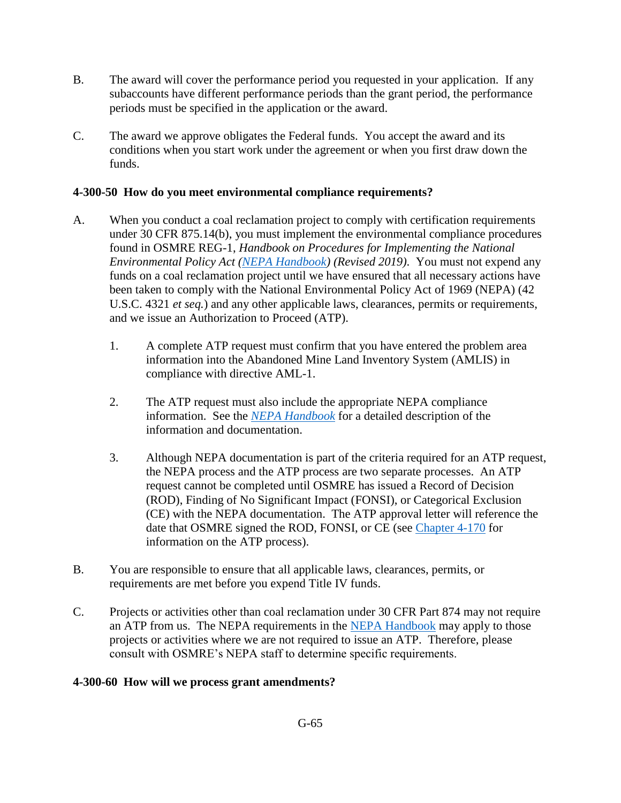- B. The award will cover the performance period you requested in your application*.* If any subaccounts have different performance periods than the grant period, the performance periods must be specified in the application or the award.
- C. The award we approve obligates the Federal funds. You accept the award and its conditions when you start work under the agreement or when you first draw down the funds.

## <span id="page-3-0"></span>**4-300-50 How do you meet environmental compliance requirements?**

- A. When you conduct a coal reclamation project to comply with certification requirements under 30 CFR 875.14(b), you must implement the environmental compliance procedures found in OSMRE REG-1, *Handbook on Procedures for Implementing the National Environmental Policy Act [\(NEPA Handbook\)](https://www.osmre.gov/lrg/nepa.shtm) (Revised 2019)*. You must not expend any funds on a coal reclamation project until we have ensured that all necessary actions have been taken to comply with the National Environmental Policy Act of 1969 (NEPA) (42 U.S.C. 4321 *et seq.*) and any other applicable laws, clearances, permits or requirements, and we issue an Authorization to Proceed (ATP).
	- 1. A complete ATP request must confirm that you have entered the problem area information into the Abandoned Mine Land Inventory System (AMLIS) in compliance with directive AML-1.
	- 2. The ATP request must also include the appropriate NEPA compliance information. See the *[NEPA Handbook](https://www.osmre.gov/lrg/nepa.shtm)* for a detailed description of the information and documentation.
	- 3. Although NEPA documentation is part of the criteria required for an ATP request, the NEPA process and the ATP process are two separate processes. An ATP request cannot be completed until OSMRE has issued a Record of Decision (ROD), Finding of No Significant Impact (FONSI), or Categorical Exclusion (CE) with the NEPA documentation. The ATP approval letter will reference the date that OSMRE signed the ROD, FONSI, or CE (see [Chapter 4-170](https://www.osmre.gov/lrg/fam/4-170.pdf) for information on the ATP process).
- B. You are responsible to ensure that all applicable laws, clearances, permits, or requirements are met before you expend Title IV funds.
- C. Projects or activities other than coal reclamation under 30 CFR Part 874 may not require an ATP from us. The NEPA requirements in the [NEPA Handbook](https://www.osmre.gov/lrg/nepa.shtm) may apply to those projects or activities where we are not required to issue an ATP. Therefore, please consult with OSMRE's NEPA staff to determine specific requirements.

#### <span id="page-3-1"></span>**4-300-60 How will we process grant amendments?**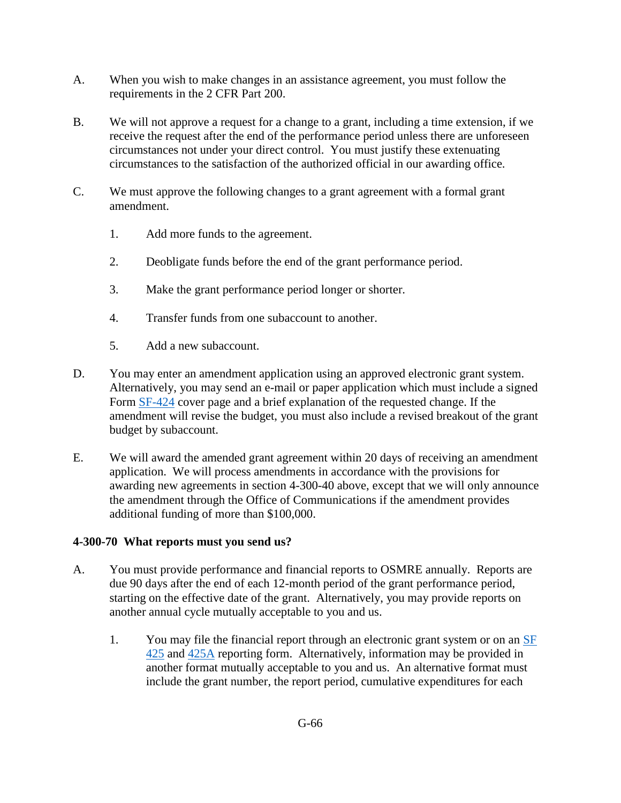- A. When you wish to make changes in an assistance agreement, you must follow the requirements in the 2 CFR Part 200.
- B. We will not approve a request for a change to a grant, including a time extension, if we receive the request after the end of the performance period unless there are unforeseen circumstances not under your direct control. You must justify these extenuating circumstances to the satisfaction of the authorized official in our awarding office.
- C. We must approve the following changes to a grant agreement with a formal grant amendment.
	- 1. Add more funds to the agreement.
	- 2. Deobligate funds before the end of the grant performance period.
	- 3. Make the grant performance period longer or shorter.
	- 4. Transfer funds from one subaccount to another.
	- 5. Add a new subaccount.
- D. You may enter an amendment application using an approved electronic grant system. Alternatively, you may send an e-mail or paper application which must include a signed Form [SF-424](http://www.osmre.gov/forms/pdf/SF424.pdf) cover page and a brief explanation of the requested change. If the amendment will revise the budget, you must also include a revised breakout of the grant budget by subaccount.
- E. We will award the amended grant agreement within 20 days of receiving an amendment application. We will process amendments in accordance with the provisions for awarding new agreements in section 4-300-40 above, except that we will only announce the amendment through the Office of Communications if the amendment provides additional funding of more than \$100,000.

#### <span id="page-4-0"></span>**4-300-70 What reports must you send us?**

- A. You must provide performance and financial reports to OSMRE annually. Reports are due 90 days after the end of each 12-month period of the grant performance period, starting on the effective date of the grant. Alternatively, you may provide reports on another annual cycle mutually acceptable to you and us.
	- 1. You may file the financial report through an electronic grant system or on an [SF](http://www.osmre.gov/forms/pdf/SF425.pdf)  [425](http://www.osmre.gov/forms/pdf/SF425.pdf) and [425A](http://www.osmre.gov/forms/pdf/SF425A.pdf) reporting form. Alternatively, information may be provided in another format mutually acceptable to you and us. An alternative format must include the grant number, the report period, cumulative expenditures for each